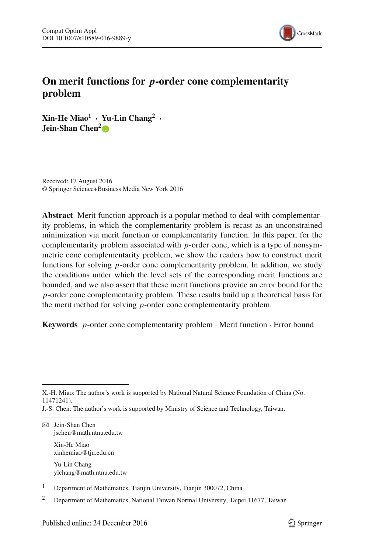

# **On merit functions for** *p***-order cone complementarity problem**

**Xin-He Miao1 · Yu-Lin Chang2 · Jein-Shan Chen<sup>[2](http://orcid.org/0000-0002-4596-9419)</sup><sup>D</sup>** 

Received: 17 August 2016 © Springer Science+Business Media New York 2016

**Abstract** Merit function approach is a popular method to deal with complementarity problems, in which the complementarity problem is recast as an unconstrained minimization via merit function or complementarity function. In this paper, for the complementarity problem associated with *p*-order cone, which is a type of nonsymmetric cone complementarity problem, we show the readers how to construct merit functions for solving *p*-order cone complementarity problem. In addition, we study the conditions under which the level sets of the corresponding merit functions are bounded, and we also assert that these merit functions provide an error bound for the *p*-order cone complementarity problem. These results build up a theoretical basis for the merit method for solving *p*-order cone complementarity problem.

**Keywords** *p*-order cone complementarity problem · Merit function · Error bound

X.-H. Miao: The author's work is supported by National Natural Science Foundation of China (No. 11471241).

J.-S. Chen: The author's work is supported by Ministry of Science and Technology, Taiwan.

B Jein-Shan Chen jschen@math.ntnu.edu.tw Xin-He Miao xinhemiao@tju.edu.cn

Yu-Lin Chang ylchang@math.ntnu.edu.tw

<sup>&</sup>lt;sup>1</sup> Department of Mathematics, Tianjin University, Tianjin 300072, China

<sup>2</sup> Department of Mathematics, National Taiwan Normal University, Taipei 11677, Taiwan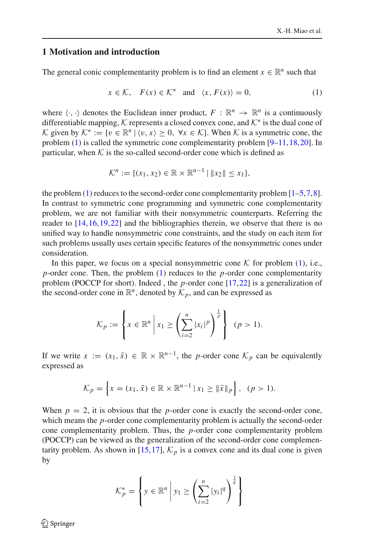# **1 Motivation and introduction**

The general conic complementarity problem is to find an element  $x \in \mathbb{R}^n$  such that

<span id="page-1-0"></span>
$$
x \in \mathcal{K}, \quad F(x) \in \mathcal{K}^* \quad \text{and} \quad \langle x, F(x) \rangle = 0,\tag{1}
$$

where  $\langle \cdot, \cdot \rangle$  denotes the Euclidean inner product,  $F : \mathbb{R}^n \to \mathbb{R}^n$  is a continuously differentiable mapping, *K* represents a closed convex cone, and *K*<sup>∗</sup> is the dual cone of *K* given by  $K^* := \{v \in \mathbb{R}^n \mid \langle v, x \rangle \geq 0, \forall x \in \mathcal{K}\}\)$ . When *K* is a symmetric cone, the problem [\(1\)](#page-1-0) is called the symmetric cone complementarity problem [\[9](#page-18-0)[–11](#page-18-1)[,18](#page-18-2),[20\]](#page-18-3). In particular, when  $K$  is the so-called second-order cone which is defined as

$$
\mathcal{K}^n := \{ (x_1, x_2) \in \mathbb{R} \times \mathbb{R}^{n-1} \mid \|x_2\| \le x_1 \},\
$$

the problem  $(1)$  reduces to the second-order cone complementarity problem  $[1-5,7,8]$  $[1-5,7,8]$  $[1-5,7,8]$  $[1-5,7,8]$  $[1-5,7,8]$ . In contrast to symmetric cone programming and symmetric cone complementarity problem, we are not familiar with their nonsymmetric counterparts. Referring the reader to [\[14](#page-18-5),[16,](#page-18-6)[19](#page-18-7)[,22](#page-18-8)] and the bibliographies therein, we observe that there is no unified way to handle nonsymmetric cone constraints, and the study on each item for such problems usually uses certain specific features of the nonsymmetric cones under consideration.

In this paper, we focus on a special nonsymmetric cone  $K$  for problem [\(1\)](#page-1-0), i.e., *p*-order cone. Then, the problem [\(1\)](#page-1-0) reduces to the *p*-order cone complementarity problem (POCCP for short). Indeed , the *p*-order cone [\[17](#page-18-9)[,22](#page-18-8)] is a generalization of the second-order cone in  $\mathbb{R}^n$ , denoted by  $\mathcal{K}_p$ , and can be expressed as

$$
\mathcal{K}_p := \left\{ x \in \mathbb{R}^n \, \middle| \, x_1 \ge \left( \sum_{i=2}^n |x_i|^p \right)^{\frac{1}{p}} \right\} \quad (p > 1).
$$

If we write  $x := (x_1, \bar{x}) \in \mathbb{R} \times \mathbb{R}^{n-1}$ , the *p*-order cone  $\mathcal{K}_p$  can be equivalently expressed as

$$
\mathcal{K}_p = \left\{ x = (x_1, \bar{x}) \in \mathbb{R} \times \mathbb{R}^{n-1} \, | \, x_1 \geq \| \bar{x} \|_p \right\}, \, (p > 1).
$$

When  $p = 2$ , it is obvious that the *p*-order cone is exactly the second-order cone, which means the *p*-order cone complementarity problem is actually the second-order cone complementarity problem. Thus, the *p*-order cone complementarity problem (POCCP) can be viewed as the generalization of the second-order cone complemen-tarity problem. As shown in [\[15](#page-18-10),[17](#page-18-9)],  $\mathcal{K}_p$  is a convex cone and its dual cone is given by

$$
\mathcal{K}_p^* = \left\{ y \in \mathbb{R}^n \middle| y_1 \ge \left( \sum_{i=2}^n |y_i|^q \right)^{\frac{1}{q}} \right\}
$$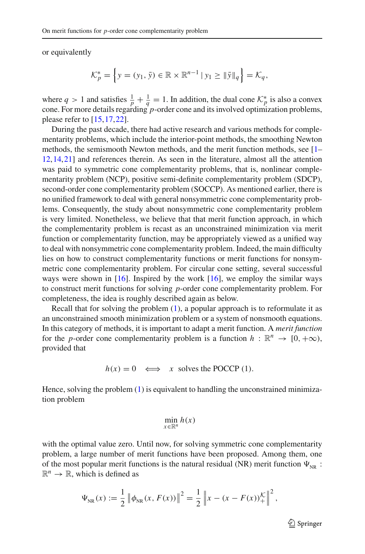or equivalently

$$
\mathcal{K}_p^* = \left\{ y = (y_1, \bar{y}) \in \mathbb{R} \times \mathbb{R}^{n-1} \, | \, y_1 \ge ||\bar{y}||_q \right\} = \mathcal{K}_q,
$$

where  $q > 1$  and satisfies  $\frac{1}{p} + \frac{1}{q} = 1$ . In addition, the dual cone  $\mathcal{K}_p^*$  is also a convex cone. For more details regarding *p*-order cone and its involved optimization problems, please refer to [\[15](#page-18-10)[,17](#page-18-9)[,22](#page-18-8)].

During the past decade, there had active research and various methods for complementarity problems, which include the interior-point methods, the smoothing Newton methods, the semismooth Newton methods, and the merit function methods, see [\[1](#page-17-0)– [12,](#page-18-11)[14](#page-18-5)[,21](#page-18-12)] and references therein. As seen in the literature, almost all the attention was paid to symmetric cone complementarity problems, that is, nonlinear complementarity problem (NCP), positive semi-definite complementarity problem (SDCP), second-order cone complementarity problem (SOCCP). As mentioned earlier, there is no unified framework to deal with general nonsymmetric cone complementarity problems. Consequently, the study about nonsymmetric cone complementarity problem is very limited. Nonetheless, we believe that that merit function approach, in which the complementarity problem is recast as an unconstrained minimization via merit function or complementarity function, may be appropriately viewed as a unified way to deal with nonsymmetric cone complementarity problem. Indeed, the main difficulty lies on how to construct complementarity functions or merit functions for nonsymmetric cone complementarity problem. For circular cone setting, several successful ways were shown in [\[16](#page-18-6)]. Inspired by the work [\[16](#page-18-6)], we employ the similar ways to construct merit functions for solving *p*-order cone complementarity problem. For completeness, the idea is roughly described again as below.

Recall that for solving the problem [\(1\)](#page-1-0), a popular approach is to reformulate it as an unconstrained smooth minimization problem or a system of nonsmooth equations. In this category of methods, it is important to adapt a merit function. A *merit function* for the *p*-order cone complementarity problem is a function  $h : \mathbb{R}^n \to [0, +\infty)$ , provided that

 $h(x) = 0 \iff x$  solves the POCCP (1).

Hence, solving the problem [\(1\)](#page-1-0) is equivalent to handling the unconstrained minimization problem

$$
\min_{x\in\mathbb{R}^n}h(x)
$$

with the optimal value zero. Until now, for solving symmetric cone complementarity problem, a large number of merit functions have been proposed. Among them, one of the most popular merit functions is the natural residual (NR) merit function  $\Psi_{NR}$ :  $\mathbb{R}^n \to \mathbb{R}$ , which is defined as

$$
\Psi_{NR}(x) := \frac{1}{2} \left\| \phi_{NR}(x, F(x)) \right\|^2 = \frac{1}{2} \left\| x - (x - F(x))_{+}^{K} \right\|^2,
$$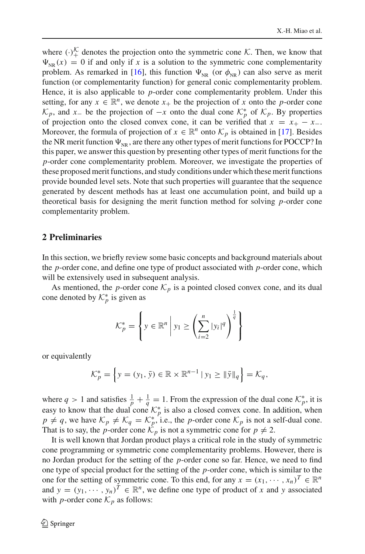where  $(\cdot)_{+}^{\prime\prime}$  denotes the projection onto the symmetric cone *K*. Then, we know that  $\Psi_{NR}(x) = 0$  if and only if *x* is a solution to the symmetric cone complementarity problem. As remarked in [\[16\]](#page-18-6), this function  $\Psi_{NR}$  (or  $\phi_{NR}$ ) can also serve as merit function (or complementarity function) for general conic complementarity problem. Hence, it is also applicable to *p*-order cone complementarity problem. Under this setting, for any  $x \in \mathbb{R}^n$ , we denote  $x_+$  be the projection of x onto the *p*-order cone *K*<sub>*p*</sub>, and *x*<sub>−</sub> be the projection of −*x* onto the dual cone  $K_p^*$  of  $K_p$ . By properties of projection onto the closed convex cone, it can be verified that  $x = x_+ - x_-$ . Moreover, the formula of projection of  $x \in \mathbb{R}^n$  onto  $\mathcal{K}_p$  is obtained in [\[17](#page-18-9)]. Besides the NR merit function  $\Psi_{\scriptscriptstyle\rm NR}$  , are there any other types of merit functions for POCCP? In this paper, we answer this question by presenting other types of merit functions for the *p*-order cone complementarity problem. Moreover, we investigate the properties of these proposed merit functions, and study conditions under which these merit functions provide bounded level sets. Note that such properties will guarantee that the sequence generated by descent methods has at least one accumulation point, and build up a theoretical basis for designing the merit function method for solving *p*-order cone complementarity problem.

### **2 Preliminaries**

In this section, we briefly review some basic concepts and background materials about the *p*-order cone, and define one type of product associated with *p*-order cone, which will be extensively used in subsequent analysis.

As mentioned, the *p*-order cone  $\mathcal{K}_p$  is a pointed closed convex cone, and its dual cone denoted by  $\mathcal{K}_p^*$  is given as

$$
\mathcal{K}_p^* = \left\{ y \in \mathbb{R}^n \middle| y_1 \ge \left( \sum_{i=2}^n |y_i|^q \right)^{\frac{1}{q}} \right\}
$$

or equivalently

$$
\mathcal{K}_p^* = \left\{ y = (y_1, \bar{y}) \in \mathbb{R} \times \mathbb{R}^{n-1} \, | \, y_1 \ge ||\bar{y}||_q \right\} = \mathcal{K}_q,
$$

where  $q > 1$  and satisfies  $\frac{1}{p} + \frac{1}{q} = 1$ . From the expression of the dual cone  $\mathcal{K}_p^*$ , it is easy to know that the dual cone  $K_p^*$  is also a closed convex cone. In addition, when  $p \neq q$ , we have  $\mathcal{K}_p \neq \mathcal{K}_q = \mathcal{K}_p^*$ , i.e., the *p*-order cone  $\mathcal{K}_p$  is not a self-dual cone. That is to say, the *p*-order cone  $\mathcal{K}_p$  is not a symmetric cone for  $p \neq 2$ .

It is well known that Jordan product plays a critical role in the study of symmetric cone programming or symmetric cone complementarity problems. However, there is no Jordan product for the setting of the *p*-order cone so far. Hence, we need to find one type of special product for the setting of the *p*-order cone, which is similar to the one for the setting of symmetric cone. To this end, for any  $x = (x_1, \dots, x_n)^T \in \mathbb{R}^n$ and  $y = (y_1, \dots, y_n)^T \in \mathbb{R}^n$ , we define one type of product of *x* and *y* associated with *p*-order cone  $\mathcal{K}_p$  as follows: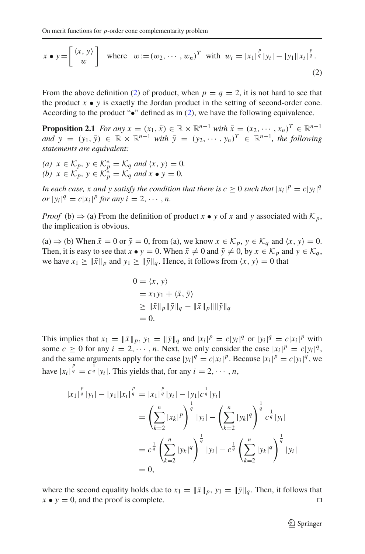<span id="page-4-0"></span>
$$
x \bullet y = \begin{bmatrix} \langle x, y \rangle \\ w \end{bmatrix} \text{ where } w := (w_2, \cdots, w_n)^T \text{ with } w_i = |x_1|^{\frac{p}{q}} |y_i| - |y_1| |x_i|^{\frac{p}{q}}.
$$
  
(2)

From the above definition [\(2\)](#page-4-0) of product, when  $p = q = 2$ , it is not hard to see that the product  $x \bullet y$  is exactly the Jordan product in the setting of second-order cone. According to the product " $\bullet$ " defined as in [\(2\)](#page-4-0), we have the following equivalence.

**Proposition 2.1** *For any*  $x = (x_1, \bar{x}) \in \mathbb{R} \times \mathbb{R}^{n-1}$  *with*  $\bar{x} = (x_2, \dots, x_n)^T \in \mathbb{R}^{n-1}$  $\overline{a}$  $\overline{a}$  $\overline{y}$  = ( $y_1$ ,  $\overline{y}$ )  $\in \mathbb{R} \times \mathbb{R}^{n-1}$  *with*  $\overline{y}$  = ( $y_2$ , ···,  $y_n$ )<sup>T</sup>  $\in \mathbb{R}^{n-1}$ , the following *statements are equivalent:*

 $f(a)$   $x \in \mathcal{K}_p$ ,  $y \in \mathcal{K}_p^* = \mathcal{K}_q$  *and*  $\langle x, y \rangle = 0$ . *(b)*  $x \in \mathcal{K}_p$ ,  $y \in \mathcal{K}_p^* = \mathcal{K}_q$  *and*  $x \bullet y = 0$ *.* 

*In each case, x and y satisfy the condition that there is*  $c \ge 0$  *such that*  $|x_i|^p = c|y_i|^q$  $\int \int f(x) \, dx = c |x_i|^p \, \text{for any } i = 2, \dots, n.$ 

*Proof* (b)  $\Rightarrow$  (a) From the definition of product *x* • *y* of *x* and *y* associated with  $K_p$ , the implication is obvious.

 $(a) \Rightarrow$  (b) When  $\bar{x} = 0$  or  $\bar{y} = 0$ , from (a), we know  $x \in \mathcal{K}_p$ ,  $y \in \mathcal{K}_q$  and  $\langle x, y \rangle = 0$ . Then, it is easy to see that  $x \bullet y = 0$ . When  $\bar{x} \neq 0$  and  $\bar{y} \neq 0$ , by  $x \in \mathcal{K}_p$  and  $y \in \mathcal{K}_q$ , we have  $x_1 \ge ||\bar{x}||_p$  and  $y_1 \ge ||\bar{y}||_q$ . Hence, it follows from  $\langle x, y \rangle = 0$  that

$$
0 = \langle x, y \rangle
$$
  
=  $x_1y_1 + \langle \bar{x}, \bar{y} \rangle$   

$$
\geq \|\bar{x}\|_p \|\bar{y}\|_q - \|\bar{x}\|_p \|\|\bar{y}\|_q
$$
  
= 0.

This implies that  $x_1 = ||\bar{x}||_p$ ,  $y_1 = ||\bar{y}||_q$  and  $|x_i|^p = c|y_i|^q$  or  $|y_i|^q = c|x_i|^p$  with some  $c \ge 0$  for any  $i = 2, \dots, n$ . Next, we only consider the case  $|x_i|^p = c|y_i|^q$ , and the same arguments apply for the case  $|y_i|^q = c|x_i|^p$ . Because  $|x_i|^p = c|y_i|^q$ , we have  $|x_i|^{\frac{p}{q}} = c^{\frac{1}{q}} |y_i|$ . This yields that, for any  $i = 2, \dots, n$ ,

$$
|x_1|^{\frac{p}{q}} |y_i| - |y_1||x_i|^{\frac{p}{q}} = |x_1|^{\frac{p}{q}} |y_i| - |y_1|c^{\frac{1}{q}} |y_i|
$$
  

$$
= \left(\sum_{k=2}^n |x_k|^p\right)^{\frac{1}{q}} |y_i| - \left(\sum_{k=2}^n |y_k|^q\right)^{\frac{1}{q}} c^{\frac{1}{q}} |y_i|
$$
  

$$
= c^{\frac{1}{q}} \left(\sum_{k=2}^n |y_k|^q\right)^{\frac{1}{q}} |y_i| - c^{\frac{1}{q}} \left(\sum_{k=2}^n |y_k|^q\right)^{\frac{1}{q}} |y_i|
$$
  

$$
= 0,
$$

where the second equality holds due to  $x_1 = \|\bar{x}\|_p$ ,  $y_1 = \|\bar{y}\|_q$ . Then, it follows that  $x \bullet y = 0$ , and the proof is complete.  $x \bullet y = 0$ , and the proof is complete.

 $\mathcal{D}$  Springer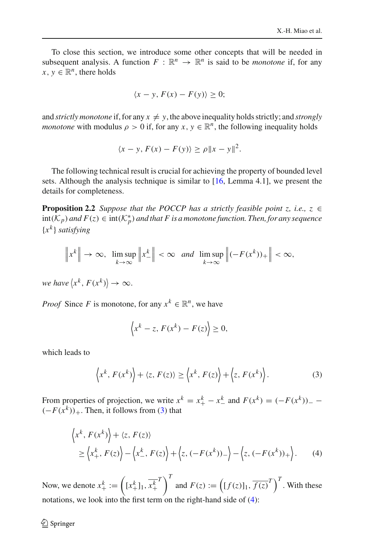To close this section, we introduce some other concepts that will be needed in subsequent analysis. A function  $F : \mathbb{R}^n \to \mathbb{R}^n$  is said to be *monotone* if, for any  $x, y \in \mathbb{R}^n$ , there holds

$$
\langle x-y, F(x)-F(y)\rangle \ge 0;
$$

and *strictly monotone* if, for any  $x \neq y$ , the above inequality holds strictly; and *strongly monotone* with modulus  $\rho > 0$  if, for any  $x, y \in \mathbb{R}^n$ , the following inequality holds

<span id="page-5-2"></span>
$$
\langle x-y, F(x)-F(y)\rangle \ge \rho \|x-y\|^2.
$$

The following technical result is crucial for achieving the property of bounded level sets. Although the analysis technique is similar to [\[16,](#page-18-6) Lemma 4.1], we present the details for completeness.

**Proposition 2.2** *Suppose that the POCCP has a strictly feasible point z, i.e., z*  $\in$  $\text{int}(\mathcal{K}_p)$  and  $F(z) \in \text{int}(\mathcal{K}_p^*)$  and that  $F$  is a monotone function. Then, for any sequence {*x<sup>k</sup>* } *satisfying*

$$
\|x^{k}\| \to \infty, \quad \limsup_{k \to \infty} \|x_{-}^{k}\| < \infty \quad \text{and} \quad \limsup_{k \to \infty} \left\|(-F(x^{k}))_{+}\right\| < \infty,
$$

*we have*  $\langle x^k, F(x^k) \rangle \rightarrow \infty$ .

*Proof* Since *F* is monotone, for any  $x^k \in \mathbb{R}^n$ , we have

$$
\left\langle x^k - z, F(x^k) - F(z) \right\rangle \geq 0,
$$

which leads to

<span id="page-5-0"></span>
$$
\left\langle x^{k}, F(x^{k})\right\rangle + \left\langle z, F(z)\right\rangle \geq \left\langle x^{k}, F(z)\right\rangle + \left\langle z, F(x^{k})\right\rangle. \tag{3}
$$

From properties of projection, we write  $x^k = x_+^k - x_-^k$  and  $F(x^k) = (-F(x^k))$ –  $(-F(x^k))_+$ . Then, it follows from [\(3\)](#page-5-0) that

<span id="page-5-1"></span>
$$
\langle x^k, F(x^k) \rangle + \langle z, F(z) \rangle
$$
  
\n
$$
\geq \langle x_+^k, F(z) \rangle - \langle x_-^k, F(z) \rangle + \langle z, (-F(x^k))_- \rangle - \langle z, (-F(x^k))_+ \rangle.
$$
 (4)

Now, we denote  $x_+^k := \left( [x_+^k]_1, \overline{x_+^k} \right)$ *T*  $\left(\left[f(z)\right]_1, \overline{f(z)}^T\right)^T$ . With these notations, we look into the first term on the right-hand side of [\(4\)](#page-5-1):

 $\textcircled{2}$  Springer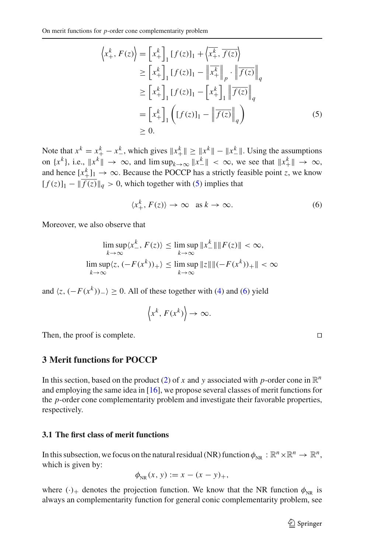<span id="page-6-0"></span>
$$
\left\langle x_{+}^{k}, F(z) \right\rangle = \left[ x_{+}^{k} \right]_{1} \left[ f(z) \right]_{1} + \left\langle x_{+}^{k}, \overline{f(z)} \right\rangle
$$
  
\n
$$
\geq \left[ x_{+}^{k} \right]_{1} \left[ f(z) \right]_{1} - \left\| x_{+}^{k} \right\|_{p} \cdot \left\| \overline{f(z)} \right\|_{q}
$$
  
\n
$$
\geq \left[ x_{+}^{k} \right]_{1} \left[ f(z) \right]_{1} - \left[ x_{+}^{k} \right]_{1} \left\| \overline{f(z)} \right\|_{q}
$$
  
\n
$$
= \left[ x_{+}^{k} \right]_{1} \left( \left[ f(z) \right]_{1} - \left\| \overline{f(z)} \right\|_{q} \right)
$$
  
\n
$$
\geq 0.
$$
 (5)

Note that  $x^k = x_+^k - x_-^k$ , which gives  $||x_+^k|| \ge ||x_-^k|| - ||x_-^k||$ . Using the assumptions on  $\{x^k\}$ , i.e.,  $\|x^k\| \to \infty$ , and  $\limsup_{k \to \infty} \|x^k\| < \infty$ , we see that  $\|x^k\| \to \infty$ , and hence  $\left[x_{+}^{k}\right]_{1} \rightarrow \infty$ . Because the POCCP has a strictly feasible point *z*, we know  $[f(z)]_1 - ||\overline{f(z)}||_q > 0$ , which together with [\(5\)](#page-6-0) implies that

<span id="page-6-1"></span>
$$
\langle x_+^k, F(z) \rangle \to \infty \quad \text{as } k \to \infty. \tag{6}
$$

Moreover, we also observe that

$$
\limsup_{k \to \infty} \langle x_{-}^{k}, F(z) \rangle \le \limsup_{k \to \infty} \|x_{-}^{k}\| \|F(z)\| < \infty,
$$
\n
$$
\limsup_{k \to \infty} \langle z, (-F(x^{k}))_{+} \rangle \le \limsup_{k \to \infty} \|z\| \|(-F(x^{k}))_{+} \| < \infty
$$

and  $\langle z, (-F(x^k))_{-}\rangle \ge 0$ . All of these together with [\(4\)](#page-5-1) and [\(6\)](#page-6-1) yield

$$
\left\langle x^k, F(x^k) \right\rangle \to \infty.
$$

Then, the proof is complete.

# **3 Merit functions for POCCP**

In this section, based on the product [\(2\)](#page-4-0) of *x* and *y* associated with *p*-order cone in  $\mathbb{R}^n$ and employing the same idea in [\[16\]](#page-18-6), we propose several classes of merit functions for the *p*-order cone complementarity problem and investigate their favorable properties, respectively.

#### **3.1 The first class of merit functions**

In this subsection, we focus on the natural residual (NR) function  $\phi_{NR} : \mathbb{R}^n \times \mathbb{R}^n \to \mathbb{R}^n$ , which is given by:

$$
\phi_{NR}(x, y) := x - (x - y)_+,
$$

where  $(\cdot)_+$  denotes the projection function. We know that the NR function  $\phi_{NR}$  is always an complementarity function for general conic complementarity problem, see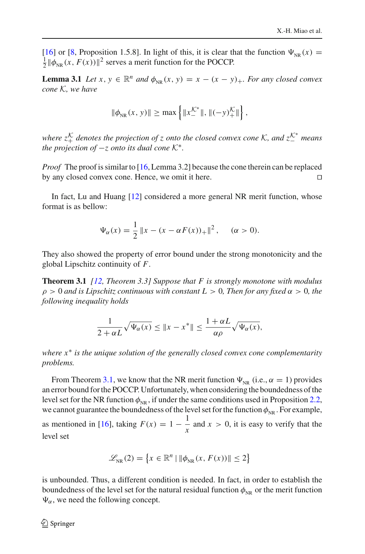[\[16](#page-18-6)] or [\[8,](#page-18-4) Proposition 1.5.8]. In light of this, it is clear that the function  $\Psi_{NR}(x) = \frac{1}{2} ||\phi_{NR}(x, F(x))||^2$  serves a merit function for the POCCP.

**Lemma 3.1** *Let*  $x, y \in \mathbb{R}^n$  *and*  $\phi_{\text{NR}}(x, y) = x - (x - y)_+$ *. For any closed convex cone K, we have*

<span id="page-7-1"></span>
$$
\|\phi_{NR}(x, y)\| \ge \max\left\{\|x_-^{\mathcal{K}^*}\|, \|( - y)_+^{\mathcal{K}}\|\right\},\
$$

*where*  $z_+^{\mathcal{K}}$  *denotes the projection of z onto the closed convex cone*  $\mathcal{K}$ *, and*  $z_-^{\mathcal{K}^*}$  *means the projection of*  $-z$  *onto its dual cone*  $K^*$ *.* 

*Proof* The proof is similar to [\[16](#page-18-6), Lemma 3.2] because the cone therein can be replaced by any closed convex cone. Hence, we omit it here.

In fact, Lu and Huang [\[12\]](#page-18-11) considered a more general NR merit function, whose format is as bellow:

<span id="page-7-0"></span>
$$
\Psi_{\alpha}(x) = \frac{1}{2} \|x - (x - \alpha F(x))_{+}\|^2, \quad (\alpha > 0).
$$

They also showed the property of error bound under the strong monotonicity and the global Lipschitz continuity of *F*.

**Theorem 3.1** *[\[12](#page-18-11), Theorem 3.3] Suppose that F is strongly monotone with modulus* ρ > 0 *and is Lipschitz continuous with constant L* > 0*, Then for any fixed* α > 0*, the following inequality holds*

$$
\frac{1}{2+\alpha L}\sqrt{\Psi_{\alpha}(x)} \leq \|x - x^*\| \leq \frac{1+\alpha L}{\alpha \rho} \sqrt{\Psi_{\alpha}(x)},
$$

*where x*∗ *is the unique solution of the generally closed convex cone complementarity problems.*

From Theorem [3.1,](#page-7-0) we know that the NR merit function  $\Psi_{NR}$  (i.e.,  $\alpha = 1$ ) provides an error bound for the POCCP. Unfortunately, when considering the boundedness of the level set for the NR function  $\phi_{NR}$ , if under the same conditions used in Proposition [2.2,](#page-5-2) we cannot guarantee the boundedness of the level set for the function  $\phi_{NR}$ . For example, as mentioned in [\[16](#page-18-6)], taking  $F(x) = 1 - \frac{1}{x}$  and  $x > 0$ , it is easy to verify that the level set

$$
\mathcal{L}_{NR}(2) = \left\{ x \in \mathbb{R}^n \mid \|\phi_{NR}(x, F(x))\| \le 2 \right\}
$$

is unbounded. Thus, a different condition is needed. In fact, in order to establish the boundedness of the level set for the natural residual function  $\phi_{NR}$  or the merit function  $\Psi_{\alpha}$ , we need the following concept.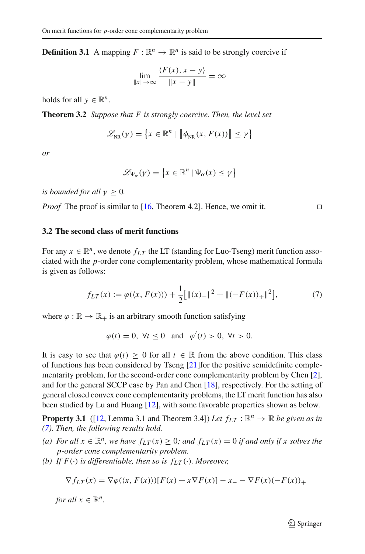**Definition 3.1** A mapping  $F : \mathbb{R}^n \to \mathbb{R}^n$  is said to be strongly coercive if

$$
\lim_{\|x\|\to\infty} \frac{\langle F(x), x - y \rangle}{\|x - y\|} = \infty
$$

<span id="page-8-1"></span>holds for all  $y \in \mathbb{R}^n$ .

**Theorem 3.2** *Suppose that F is strongly coercive. Then, the level set*

$$
\mathscr{L}_{NR}(\gamma) = \left\{ x \in \mathbb{R}^n \mid \left\| \phi_{NR}(x, F(x)) \right\| \leq \gamma \right\}
$$

*or*

$$
\mathscr{L}_{\Psi_{\alpha}}(\gamma) = \left\{ x \in \mathbb{R}^n \mid \Psi_{\alpha}(x) \le \gamma \right\}
$$

*is bounded for all*  $\gamma \geq 0$ *.* 

*Proof* The proof is similar to [\[16,](#page-18-6) Theorem 4.2]. Hence, we omit it. □

# **3.2 The second class of merit functions**

For any  $x \in \mathbb{R}^n$ , we denote  $f_{LT}$  the LT (standing for Luo-Tseng) merit function associated with the *p*-order cone complementarity problem, whose mathematical formula is given as follows:

<span id="page-8-0"></span>
$$
f_{LT}(x) := \varphi(\langle x, F(x) \rangle) + \frac{1}{2} [\|(x)_{-}\|^{2} + \|(-F(x))_{+}\|^{2}], \tag{7}
$$

where  $\varphi : \mathbb{R} \to \mathbb{R}_+$  is an arbitrary smooth function satisfying

 $\varphi(t) = 0$ ,  $\forall t \le 0$  and  $\varphi'(t) > 0$ ,  $\forall t > 0$ .

It is easy to see that  $\varphi(t) \geq 0$  for all  $t \in \mathbb{R}$  from the above condition. This class of functions has been considered by Tseng [\[21\]](#page-18-12)for the positive semidefinite complementarity problem, for the second-order cone complementarity problem by Chen [\[2](#page-17-3)], and for the general SCCP case by Pan and Chen [\[18](#page-18-2)], respectively. For the setting of general closed convex cone complementarity problems, the LT merit function has also been studied by Lu and Huang [\[12\]](#page-18-11), with some favorable properties shown as below.

**Property 3.1** ([\[12](#page-18-11), Lemma 3.1 and Theorem 3.4]) Let  $f_{LT}$ :  $\mathbb{R}^n \to \mathbb{R}$  be given as in *[\(7\)](#page-8-0). Then, the following results hold.*

- *(a)* For all  $x \in \mathbb{R}^n$ , we have  $f_{LT}(x) ≥ 0$ ; and  $f_{LT}(x) = 0$  if and only if x solves the *p-order cone complementarity problem.*
- *(b)* If  $F(\cdot)$  *is differentiable, then so is*  $f_{LT}(\cdot)$ *. Moreover,*

$$
\nabla f_{LT}(x) = \nabla \varphi(\langle x, F(x) \rangle)[F(x) + x \nabla F(x)] - x_- - \nabla F(x)(-F(x))_+
$$

*for all*  $x \in \mathbb{R}^n$ *.*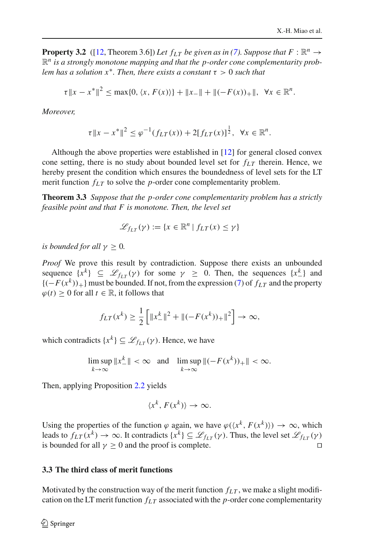**Property 3.2** ([\[12](#page-18-11), Theorem 3.6]) *Let*  $f_{LT}$  *be given as in [\(7\)](#page-8-0). Suppose that*  $F : \mathbb{R}^n \to$  $\mathbb{R}^n$  is a strongly monotone mapping and that the p-order cone complementarity prob*lem has a solution x<sup>\*</sup>. Then, there exists a constant*  $\tau > 0$  *such that* 

$$
\tau \|x - x^*\|^2 \le \max\{0, \langle x, F(x)\rangle\} + \|x_{-}\| + \|(-F(x))_{+}\|, \ \forall x \in \mathbb{R}^n.
$$

*Moreover,*

$$
\tau \|x - x^*\|^2 \le \varphi^{-1}(f_{LT}(x)) + 2[f_{LT}(x)]^{\frac{1}{2}}, \ \forall x \in \mathbb{R}^n.
$$

Although the above properties were established in [\[12](#page-18-11)] for general closed convex cone setting, there is no study about bounded level set for  $f_{LT}$  therein. Hence, we hereby present the condition which ensures the boundedness of level sets for the LT merit function  $f_{LT}$  to solve the *p*-order cone complementarity problem.

**Theorem 3.3** *Suppose that the p-order cone complementarity problem has a strictly feasible point and that F is monotone. Then, the level set*

<span id="page-9-0"></span>
$$
\mathcal{L}_{f_{LT}}(\gamma) := \{ x \in \mathbb{R}^n \mid f_{LT}(x) \le \gamma \}
$$

*is bounded for all*  $\gamma > 0$ *.* 

*Proof* We prove this result by contradiction. Suppose there exists an unbounded sequence  $\{x^k\} \subseteq \mathcal{L}_{fLT}(\gamma)$  for some  $\gamma \geq 0$ . Then, the sequences  $\{x^k_-\}$  and  ${(-F(x^k))_+}$  must be bounded. If not, from the expression [\(7\)](#page-8-0) of  $f_{LT}$  and the property  $\varphi$ (*t*) ≥ 0 for all *t* ∈ ℝ, it follows that

$$
f_{LT}(x^k) \ge \frac{1}{2} \left[ \|x_{-}^k\|^2 + \|(-F(x^k))_+\|^2 \right] \to \infty,
$$

which contradicts  $\{x^k\} \subseteq \mathcal{L}_{f_T}(\gamma)$ . Hence, we have

$$
\limsup_{k \to \infty} \|x_{-}^{k}\| < \infty \quad \text{and} \quad \limsup_{k \to \infty} \|(-F(x^{k}))_{+}\| < \infty.
$$

Then, applying Proposition [2.2](#page-5-2) yields

$$
\langle x^k, F(x^k) \rangle \to \infty.
$$

Using the properties of the function  $\varphi$  again, we have  $\varphi(\langle x^k, F(x^k) \rangle) \to \infty$ , which leads to  $f_{LT}(x^k) \to \infty$ . It contradicts  $\{x^k\} \subseteq \mathcal{L}_{f_{LT}}(\gamma)$ . Thus, the level set  $\mathcal{L}_{f_{LT}}(\gamma)$ is bounded for all  $\gamma \geq 0$  and the proof is complete.

# **3.3 The third class of merit functions**

Motivated by the construction way of the merit function  $f_{LT}$ , we make a slight modification on the LT merit function  $f_{LT}$  associated with the *p*-order cone complementarity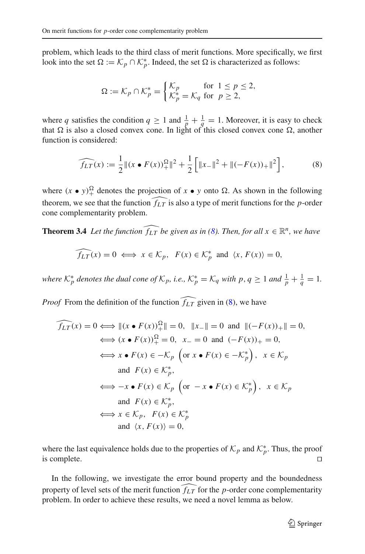problem, which leads to the third class of merit functions. More specifically, we first look into the set  $\Omega := \mathcal{K}_p \cap \mathcal{K}_p^*$ . Indeed, the set  $\Omega$  is characterized as follows:

$$
\Omega := \mathcal{K}_p \cap \mathcal{K}_p^* = \begin{cases} \mathcal{K}_p & \text{for } 1 \le p \le 2, \\ \mathcal{K}_p^* = \mathcal{K}_q & \text{for } p \ge 2, \end{cases}
$$

where *q* satisfies the condition  $q \ge 1$  and  $\frac{1}{p} + \frac{1}{q} = 1$ . Moreover, it is easy to check that  $\Omega$  is also a closed convex cone. In light of this closed convex cone  $\Omega$ , another function is considered:

<span id="page-10-0"></span>
$$
\widehat{f_{LT}}(x) := \frac{1}{2} ||(x \bullet F(x))_+^{\Omega}||^2 + \frac{1}{2} \left[ ||x_-||^2 + ||(-F(x))_+||^2 \right],\tag{8}
$$

where  $(x \bullet y)_+^{\Omega}$  denotes the projection of  $x \bullet y$  onto  $\Omega$ . As shown in the following theorem, we see that the function  $\widehat{f_{LT}}$  is also a type of merit functions for the *p*-order cone complementarity problem.

**Theorem 3.4** *Let the function*  $\widehat{f_{LT}}$  *be given as in [\(8\)](#page-10-0). Then, for all*  $x \in \mathbb{R}^n$ *, we have* 

<span id="page-10-2"></span>
$$
\widehat{f_{LT}}(x) = 0 \iff x \in \mathcal{K}_p, \ \ F(x) \in \mathcal{K}_p^* \ \text{and} \ \langle x, F(x) \rangle = 0,
$$

*where*  $K_p^*$  *denotes the dual cone of*  $K_p$ , *i.e.*,  $K_p^* = K_q$  *with*  $p, q \ge 1$  *and*  $\frac{1}{p} + \frac{1}{q} = 1$ *.* 

*Proof* From the definition of the function  $\widehat{f_{LT}}$  given in [\(8\)](#page-10-0), we have

$$
\begin{aligned}\n\widehat{f_{LT}}(x) &= 0 \Longleftrightarrow ||(x \bullet F(x))_+^{\Omega}|| = 0, \quad ||x_-|| = 0 \text{ and } ||(-F(x))_+|| = 0, \\
&\Longleftrightarrow (x \bullet F(x))^{\Omega} = 0, \quad x_- = 0 \text{ and } (-F(x))_+ = 0, \\
&\Longleftrightarrow x \bullet F(x) \in -\mathcal{K}_p \text{ (or } x \bullet F(x) \in -\mathcal{K}_p^*) \text{, } x \in \mathcal{K}_p \\
&\text{and } F(x) \in \mathcal{K}_p^*, \\
&\Longleftrightarrow -x \bullet F(x) \in \mathcal{K}_p \text{ (or } -x \bullet F(x) \in \mathcal{K}_p^*) \text{, } x \in \mathcal{K}_p \\
&\text{and } F(x) \in \mathcal{K}_p^*, \\
&\Longleftrightarrow x \in \mathcal{K}_p, \quad F(x) \in \mathcal{K}_p^* \\
&\text{and } \langle x, F(x) \rangle = 0,\n\end{aligned}
$$

where the last equivalence holds due to the properties of  $\mathcal{K}_p$  and  $\mathcal{K}_p^*$ . Thus, the proof is complete.  $\Box$ 

<span id="page-10-1"></span>In the following, we investigate the error bound property and the boundedness property of level sets of the merit function  $\widehat{f_{LT}}$  for the *p*-order cone complementarity problem. In order to achieve these results, we need a novel lemma as below.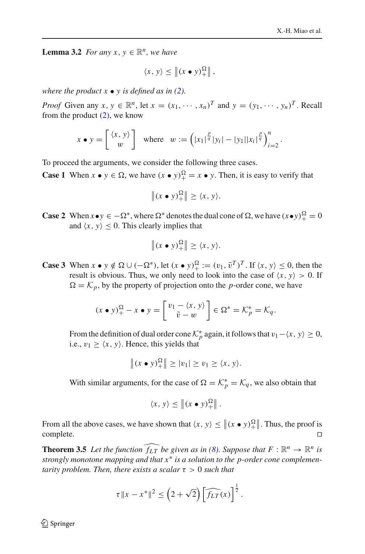**Lemma 3.2** *For any x, y*  $\in \mathbb{R}^n$ *, we have* 

$$
\langle x, y \rangle \leq \left\| (x \bullet y)_+^{\Omega} \right\|,
$$

*where the product*  $x \bullet y$  *is defined as in [\(2\)](#page-4-0).* 

*Proof* Given any  $x, y \in \mathbb{R}^n$ , let  $x = (x_1, \dots, x_n)^T$  and  $y = (y_1, \dots, y_n)^T$ . Recall from the product  $(2)$ , we know

$$
x \bullet y = \begin{bmatrix} \langle x, y \rangle \\ w \end{bmatrix}
$$
 where  $w := (|x_1|^{\frac{p}{q}}|y_i| - |y_1||x_i|^{\frac{p}{q}})_{i=2}^n$ .

To proceed the arguments, we consider the following three cases.

**Case 1** When  $x \bullet y \in \Omega$ , we have  $(x \bullet y)_+^{\Omega} = x \bullet y$ . Then, it is easy to verify that

$$
\|(x \bullet y)_+^{\Omega}\| \ge \langle x, y \rangle.
$$

**Case 2** When  $x \bullet y \in -\Omega^*$ , where  $\Omega^*$  denotes the dual cone of  $\Omega$ , we have  $(x \bullet y)_+^{\Omega} = 0$ and  $\langle x, y \rangle \leq 0$ . This clearly implies that

$$
\|(x \bullet y)_+^{\Omega}\| \ge \langle x, y \rangle.
$$

**Case 3** When  $x \bullet y \notin \Omega \cup (-\Omega^*)$ , let  $(x \bullet y)^\Omega_+ := (v_1, \overline{v}^T)^T$ . If  $\langle x, y \rangle \le 0$ , then the result is obvious. Thus, we only need to look into the case of  $\langle x, y \rangle > 0$ . If  $\Omega = \mathcal{K}_p$ , by the property of projection onto the *p*-order cone, we have

$$
(x \bullet y)_+^{\Omega} - x \bullet y = \begin{bmatrix} v_1 - \langle x, y \rangle \\ \overline{v} - w \end{bmatrix} \in \Omega^* = \mathcal{K}_p^* = \mathcal{K}_q.
$$

From the definition of dual order cone  $K_p^*$  again, it follows that  $v_1 - \langle x, y \rangle \ge 0$ , i.e.,  $v_1 \ge \langle x, y \rangle$ . Hence, this yields that

$$
\|(x \bullet y)_+^{\Omega}\| \ge |v_1| \ge v_1 \ge \langle x, y \rangle.
$$

With similar arguments, for the case of  $\Omega = \mathcal{K}_p^* = \mathcal{K}_q$ , we also obtain that

$$
\langle x, y \rangle \leq \left\| (x \bullet y)_+^{\Omega} \right\|.
$$

From all the above cases, we have shown that  $\langle x, y \rangle \leq ||(x \bullet y)_{+}^{\Omega}||$ . Thus, the proof is complete.

<span id="page-11-0"></span>**Theorem 3.5** Let the function  $\widehat{f_{LT}}$  be given as in [\(8\)](#page-10-0). Suppose that  $F : \mathbb{R}^n \to \mathbb{R}^n$  is *strongly monotone mapping and that x*∗ *is a solution to the p-order cone complementarity problem. Then, there exists a scalar* τ > 0 *such that*

$$
\tau \|x - x^*\|^2 \leq \left(2 + \sqrt{2}\right) \left[\widehat{f_{LT}}(x)\right]^{\frac{1}{2}}.
$$

 $\mathcal{L}$  Springer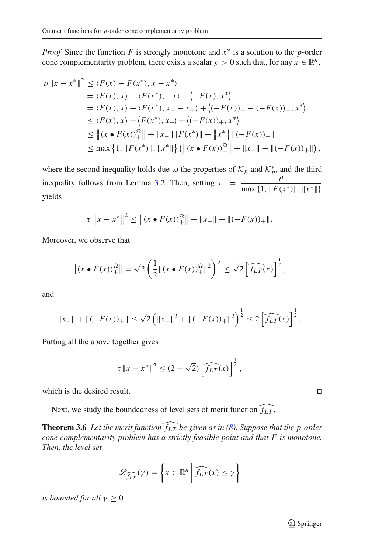*Proof* Since the function *F* is strongly monotone and  $x$ <sup>∗</sup> is a solution to the *p*-order cone complementarity problem, there exists a scalar  $\rho > 0$  such that, for any  $x \in \mathbb{R}^n$ ,

$$
\rho ||x - x^*||^2 \le \langle F(x) - F(x^*), x - x^* \rangle
$$
  
\n
$$
= \langle F(x), x \rangle + \langle F(x^*), -x \rangle + \langle -F(x), x^* \rangle
$$
  
\n
$$
= \langle F(x), x \rangle + \langle F(x^*), x_- - x_+ \rangle + \langle (-F(x))_+ - (-F(x))_- , x^* \rangle
$$
  
\n
$$
\le \langle F(x), x \rangle + \langle F(x^*), x_- \rangle + \langle (-F(x))_+, x^* \rangle
$$
  
\n
$$
\le ||(x \cdot F(x))^{\Omega}_+|| + ||x_-|| ||F(x^*)|| + ||x^*|| ||(-F(x))_+||
$$
  
\n
$$
\le \max \{ 1, ||F(x^*)||, ||x^*|| \} (||(x \cdot F(x))^{\Omega}_+|| + ||x_-|| + ||(-F(x))_+||),
$$

where the second inequality holds due to the properties of  $\mathcal{K}_p$  and  $\mathcal{K}_p^*$ , and the third inequality follows from Lemma [3.2.](#page-10-1) Then, setting  $\tau := \frac{\rho}{\max(1 + \sqrt{K})}$  $\max\{1, \|F(x^*)\|, \|x^*\|\}$ yields

$$
\tau \|x - x^*\|^2 \le \| (x \bullet F(x))_+^{\Omega} \| + \|x_-\| + \|(-F(x))_+\|.
$$

Moreover, we observe that

$$
\|(x \bullet F(x))_+^{\Omega}\| = \sqrt{2} \left(\frac{1}{2} \|(x \bullet F(x))_+^{\Omega}\|^2\right)^{\frac{1}{2}} \le \sqrt{2} \left[\widehat{f_{LT}}(x)\right]^{\frac{1}{2}},
$$

and

$$
||x_{-}|| + ||(-F(x))_{+}|| \leq \sqrt{2} \left( ||x_{-}||^{2} + ||(-F(x))_{+}||^{2} \right)^{\frac{1}{2}} \leq 2 \left[ \widehat{f_{LT}}(x) \right]^{\frac{1}{2}}.
$$

Putting all the above together gives

<span id="page-12-0"></span>
$$
\tau \|x - x^*\|^2 \le (2 + \sqrt{2}) \left[ \widehat{f_{LT}}(x) \right]^{\frac{1}{2}},
$$

which is the desired result.  $\Box$ 

Next, we study the boundedness of level sets of merit function  $\widehat{f_{LT}}$ .

**Theorem 3.6** Let the merit function  $\widehat{f_{LT}}$  be given as in [\(8\)](#page-10-0). Suppose that the p-order *cone complementarity problem has a strictly feasible point and that F is monotone. Then, the level set*

$$
\mathcal{L}_{\widehat{f_{LT}}}(\gamma) = \left\{ x \in \mathbb{R}^n \middle| \widehat{f_{LT}}(x) \le \gamma \right\}
$$

*is bounded for all*  $\gamma \geq 0$ *.*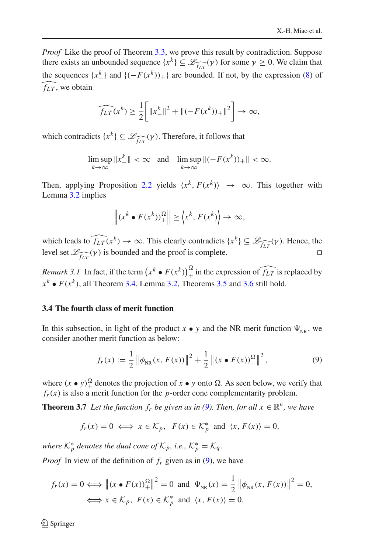*Proof* Like the proof of Theorem [3.3,](#page-9-0) we prove this result by contradiction. Suppose there exists an unbounded sequence  $\{x^k\} \subseteq \mathcal{L}_{\widehat{f_{LT}}}(\gamma)$  for some  $\gamma \ge 0$ . We claim that the sequences  $\{x_{-}^{k}\}\$  and  $\{(-F(x^{k}))_{+}\}\$  are bounded. If not, by the expression [\(8\)](#page-10-0) of  $\widehat{f_{LT}}$ , we obtain

$$
\widehat{f_{LT}}(x^k) \ge \frac{1}{2} \bigg[ \|x^k_-\|^2 + \|(-F(x^k))_+\|^2 \bigg] \to \infty,
$$

which contradicts  $\{x^k\} \subseteq \mathcal{L}_{\widehat{fLT}}(\gamma)$ . Therefore, it follows that

$$
\limsup_{k \to \infty} \|x_{-}^{k}\| < \infty \quad \text{and} \quad \limsup_{k \to \infty} \|(-F(x^{k}))_{+}\| < \infty.
$$

Then, applying Proposition [2.2](#page-5-2) yields  $\langle x^k, F(x^k) \rangle \rightarrow \infty$ . This together with Lemma [3.2](#page-10-1) implies

$$
\left\| (x^k \bullet F(x^k))_+^{\Omega} \right\| \ge \left\langle x^k, F(x^k) \right\rangle \to \infty,
$$

which leads to  $\widehat{f_{LT}}(x^k) \to \infty$ . This clearly contradicts  $\{x^k\} \subseteq \mathcal{L}_{\widehat{f_{LT}}}(\gamma)$ . Hence, the level set  $\mathcal{L}_{\widehat{f_{LT}}}(\gamma)$  is bounded and the proof is complete.

<span id="page-13-2"></span>*Remark 3.1* In fact, if the term  $\left(x^k \cdot F(x^k)\right)_+^\Omega$  in the expression of  $\widehat{f_{LT}}$  is replaced by  $x^k \bullet F(x^k)$ , all Theorem [3.4,](#page-10-2) Lemma [3.2,](#page-10-1) Theorems [3.5](#page-11-0) and [3.6](#page-12-0) still hold.

## **3.4 The fourth class of merit function**

In this subsection, in light of the product  $x \bullet y$  and the NR merit function  $\Psi_{NR}$ , we consider another merit function as below:

<span id="page-13-1"></span><span id="page-13-0"></span>
$$
f_r(x) := \frac{1}{2} \left\| \phi_{NR}(x, F(x)) \right\|^2 + \frac{1}{2} \left\| (x \bullet F(x))_+^{\Omega} \right\|^2, \tag{9}
$$

where  $(x \bullet y)_+^{\Omega}$  denotes the projection of  $x \bullet y$  onto  $\Omega$ . As seen below, we verify that  $f_r(x)$  is also a merit function for the *p*-order cone complementarity problem.

**Theorem 3.7** *Let the function*  $f_r$  *be given as in [\(9\)](#page-13-0). Then, for all*  $x \in \mathbb{R}^n$ *, we have* 

$$
f_r(x) = 0 \iff x \in \mathcal{K}_p, \ \ F(x) \in \mathcal{K}_p^*
$$
 and  $\langle x, F(x) \rangle = 0$ ,

*where*  $\mathcal{K}_p^*$  *denotes the dual cone of*  $\mathcal{K}_p$ *, i.e.,*  $\mathcal{K}_p^* = \mathcal{K}_q$ *.* 

*Proof* In view of the definition of  $f_r$  given as in [\(9\)](#page-13-0), we have

$$
f_r(x) = 0 \Longleftrightarrow \left\| (x \bullet F(x))_+^{\Omega} \right\|^2 = 0 \text{ and } \Psi_{NR}(x) = \frac{1}{2} \left\| \phi_{NR}(x, F(x)) \right\|^2 = 0,
$$
  

$$
\Longleftrightarrow x \in \mathcal{K}_p, \ F(x) \in \mathcal{K}_p^* \text{ and } \langle x, F(x) \rangle = 0,
$$

 $\mathcal{L}$  Springer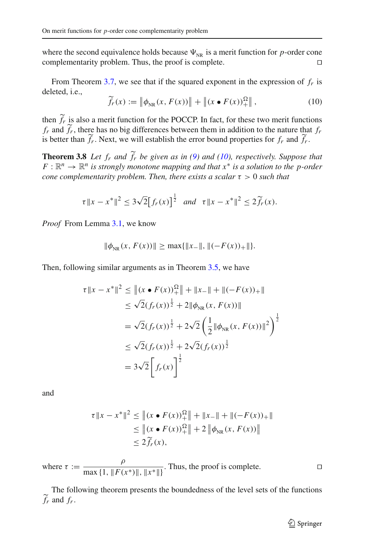where the second equivalence holds because  $\Psi_{NR}$  is a merit function for *p*-order cone complementarity problem. Thus, the proof is complete.  $\Box$ 

From Theorem [3.7,](#page-13-1) we see that if the squared exponent in the expression of *fr* is deleted, i.e.,

<span id="page-14-1"></span><span id="page-14-0"></span>
$$
\widetilde{f}_r(x) := \left\| \phi_{NR}(x, F(x)) \right\| + \left\| (x \bullet F(x))_+^{\Omega} \right\|, \tag{10}
$$

then  $\widetilde{f}_r$  is also a merit function for the POCCP. In fact, for these two merit functions  $f_r$  and  $\tilde{f}_r$ , there has no big differences between them in addition to the nature that  $f_r$ is better than  $\tilde{f}_r$ . Next, we will establish the error bound properties for  $f_r$  and  $\tilde{f}_r$ .

**Theorem 3.8** Let  $f_r$  and  $\tilde{f}_r$  be given as in [\(9\)](#page-13-0) and [\(10\)](#page-14-0), respectively. Suppose that  $F: \mathbb{R}^n \to \mathbb{R}^n$  *is strongly monotone mapping and that*  $x^*$  *is a solution to the p-order cone complementarity problem. Then, there exists a scalar* τ > 0 *such that*

$$
\tau ||x - x^*||^2 \le 3\sqrt{2} [f_r(x)]^{\frac{1}{2}}
$$
 and  $\tau ||x - x^*||^2 \le 2 \widetilde{f}_r(x)$ .

*Proof* From Lemma [3.1,](#page-7-1) we know

$$
\|\phi_{NR}(x, F(x))\| \ge \max\{\|x_{-}\|, \|(-F(x))_{+}\|\}.
$$

Then, following similar arguments as in Theorem [3.5,](#page-11-0) we have

$$
\tau \|x - x^*\|^2 \le \| (x \cdot F(x))_+^2 \| + \|x_-\| + \|(-F(x))_+\|
$$
  
\n
$$
\le \sqrt{2} (f_r(x))^{\frac{1}{2}} + 2\|\phi_{NR}(x, F(x))\|
$$
  
\n
$$
= \sqrt{2} (f_r(x))^{\frac{1}{2}} + 2\sqrt{2} \left(\frac{1}{2} \|\phi_{NR}(x, F(x))\|^2\right)^{\frac{1}{2}}
$$
  
\n
$$
\le \sqrt{2} (f_r(x))^{\frac{1}{2}} + 2\sqrt{2} (f_r(x))^{\frac{1}{2}}
$$
  
\n
$$
= 3\sqrt{2} \left[f_r(x)\right]^{\frac{1}{2}}
$$

and

$$
\tau \|x - x^*\|^2 \le \| (x \cdot F(x))_+^{\Omega} \| + \|x_-\| + \|(-F(x))_+\|
$$
  
\n
$$
\le \| (x \cdot F(x))_+^{\Omega} \| + 2 \| \phi_{NR}(x, F(x)) \|
$$
  
\n
$$
\le 2 \widetilde{f}_r(x),
$$

where  $\tau := \frac{\rho}{\max(1 + \frac{\mu}{\epsilon})}$  $\frac{F}{\max\{1, \|F(x^*)\|, \|x^*\| \}}$ . Thus, the proof is complete.

<span id="page-14-2"></span>The following theorem presents the boundedness of the level sets of the functions  $\widetilde{f}_r$  and  $f_r$ .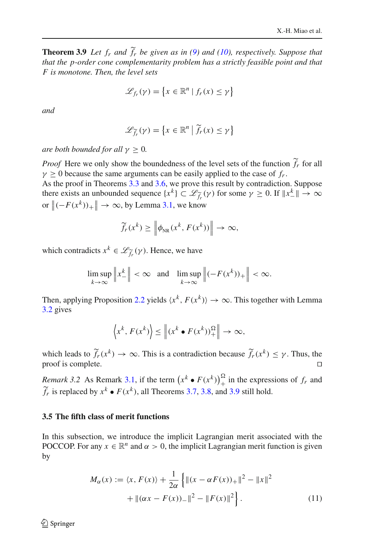**Theorem 3.9** *Let*  $f_r$  *and*  $\tilde{f}_r$  *be given as in [\(9\)](#page-13-0) and [\(10\)](#page-14-0), respectively. Suppose that that the p-order cone complementarity problem has a strictly feasible point and that F is monotone. Then, the level sets*

$$
\mathscr{L}_{f_r}(\gamma) = \left\{ x \in \mathbb{R}^n \mid f_r(x) \le \gamma \right\}
$$

*and*

$$
\mathcal{L}_{\widetilde{f}_r}(\gamma) = \left\{ x \in \mathbb{R}^n \mid \widetilde{f}_r(x) \le \gamma \right\}
$$

*are both bounded for all*  $\gamma > 0$ *.* 

*Proof* Here we only show the boundedness of the level sets of the function  $\widetilde{f}_r$  for all  $\gamma \geq 0$  because the same arguments can be easily applied to the case of  $f_r$ .

As the proof in Theorems [3.3](#page-9-0) and [3.6,](#page-12-0) we prove this result by contradiction. Suppose there exists an unbounded sequence  $\{x^k\} \subset \mathcal{L}_{\widetilde{f}_r}(\gamma)$  for some  $\gamma \ge 0$ . If  $\|x^k_-\| \to \infty$ or  $\left\| (-F(x^k))_+ \right\| \to \infty$ , by Lemma [3.1,](#page-7-1) we know

$$
\widetilde{f}_r(x^k) \ge \left\| \phi_{NR}(x^k, F(x^k)) \right\| \to \infty,
$$

which contradicts  $x^k \in \mathcal{L}_{\widetilde{f}_r}(\gamma)$ . Hence, we have

$$
\limsup_{k \to \infty} \left\| x_-^k \right\| < \infty \quad \text{and} \quad \limsup_{k \to \infty} \left\| (-F(x^k))_+ \right\| < \infty.
$$

Then, applying Proposition [2.2](#page-5-2) yields  $\langle x^k, F(x^k) \rangle \rightarrow \infty$ . This together with Lemma [3.2](#page-10-1) gives

$$
\left\langle x^k, F(x^k) \right\rangle \le \left\| (x^k \bullet F(x^k))^{\Omega}_+ \right\| \to \infty,
$$

which leads to  $\widetilde{f}_r(x^k) \to \infty$ . This is a contradiction because  $\widetilde{f}_r(x^k) \leq \gamma$ . Thus, the proof is complete.

*Remark 3.2* As Remark [3.1,](#page-13-2) if the term  $(x^k \cdot F(x^k))_+^{\Omega}$  in the expressions of  $f_r$  and  $\widetilde{f}_r$  is replaced by  $x^k \bullet F(x^k)$ , all Theorems [3.7,](#page-13-1) [3.8,](#page-14-1) and [3.9](#page-14-2) still hold.

#### **3.5 The fifth class of merit functions**

In this subsection, we introduce the implicit Lagrangian merit associated with the POCCOP. For any  $x \in \mathbb{R}^n$  and  $\alpha > 0$ , the implicit Lagrangian merit function is given by

<span id="page-15-0"></span>
$$
M_{\alpha}(x) := \langle x, F(x) \rangle + \frac{1}{2\alpha} \left\{ ||(x - \alpha F(x))_{+}||^{2} - ||x||^{2} + ||(\alpha x - F(x))_{-}||^{2} - ||F(x)||^{2} \right\}.
$$
 (11)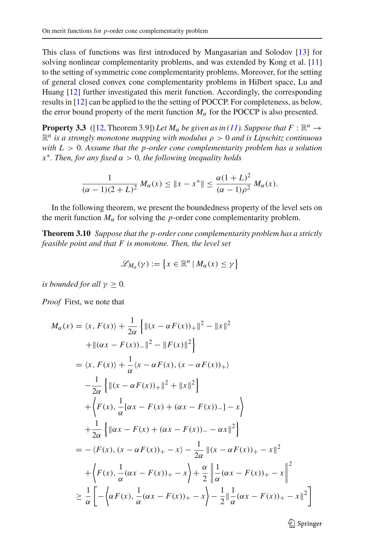This class of functions was first introduced by Mangasarian and Solodov [\[13](#page-18-13)] for solving nonlinear complementarity problems, and was extended by Kong et al. [\[11\]](#page-18-1) to the setting of symmetric cone complementarity problems. Moreover, for the setting of general closed convex cone complementarity problems in Hilbert space, Lu and Huang [\[12\]](#page-18-11) further investigated this merit function. Accordingly, the corresponding results in [\[12\]](#page-18-11) can be applied to the the setting of POCCP. For completeness, as below, the error bound property of the merit function  $M_{\alpha}$  for the POCCP is also presented.

**Property 3.3** ([\[12](#page-18-11), Theorem 3.9]) Let  $M_\alpha$  be given as in [\(11\)](#page-15-0). Suppose that  $F : \mathbb{R}^n \to$  $\mathbb{R}^n$  *is a strongly monotone mapping with modulus*  $\rho > 0$  *and is Lipschitz continuous with L* > 0*. Assume that the p-order cone complementarity problem has a solution*  $x^*$ *. Then, for any fixed*  $\alpha > 0$ *, the following inequality holds* 

$$
\frac{1}{(\alpha-1)(2+L)^2} M_{\alpha}(x) \leq \|x - x^*\| \leq \frac{\alpha(1+L)^2}{(\alpha-1)\rho^2} M_{\alpha}(x).
$$

In the following theorem, we present the boundedness property of the level sets on the merit function  $M_{\alpha}$  for solving the *p*-order cone complementarity problem.

**Theorem 3.10** *Suppose that the p-order cone complementarity problem has a strictly feasible point and that F is monotone. Then, the level set*

$$
\mathscr{L}_{M_{\alpha}}(\gamma) := \{x \in \mathbb{R}^n \mid M_{\alpha}(x) \leq \gamma\}
$$

*is bounded for all*  $\gamma \geq 0$ *.* 

*Proof* First, we note that

$$
M_{\alpha}(x) = \langle x, F(x) \rangle + \frac{1}{2\alpha} \left\{ \left\| (x - \alpha F(x))_+ \right\|^2 - \|x\|^2 \right\}
$$
  
+ 
$$
\left\| (\alpha x - F(x))_- \right\|^2 - \|F(x)\|^2 \right\}
$$
  
= 
$$
\langle x, F(x) \rangle + \frac{1}{\alpha} \langle x - \alpha F(x), (x - \alpha F(x))_+ \rangle
$$
  

$$
- \frac{1}{2\alpha} \left\{ \left\| (x - \alpha F(x))_+ \right\|^2 + \|x\|^2 \right\}
$$
  
+ 
$$
\left\{ F(x), \frac{1}{\alpha} [\alpha x - F(x) + (\alpha x - F(x))_-] - x \right\}
$$
  
+ 
$$
\frac{1}{2\alpha} \left\{ \left\| \alpha x - F(x) + (\alpha x - F(x))_- - \alpha x \right\|^2 \right\}
$$
  
= 
$$
- \langle F(x), (x - \alpha F(x))_+ - x \rangle - \frac{1}{2\alpha} \left\| (x - \alpha F(x))_+ - x \right\|^2
$$
  
+ 
$$
\left\{ F(x), \frac{1}{\alpha} (\alpha x - F(x))_+ - x \right\} + \frac{\alpha}{2} \left\| \frac{1}{\alpha} (\alpha x - F(x))_+ - x \right\|^2
$$
  

$$
\geq \frac{1}{\alpha} \left[ -\left\langle \alpha F(x), \frac{1}{\alpha} (\alpha x - F(x))_+ - x \right\rangle - \frac{1}{2} \left\| \frac{1}{\alpha} (\alpha x - F(x))_+ - x \right\|^2 \right]
$$

<sup>2</sup> Springer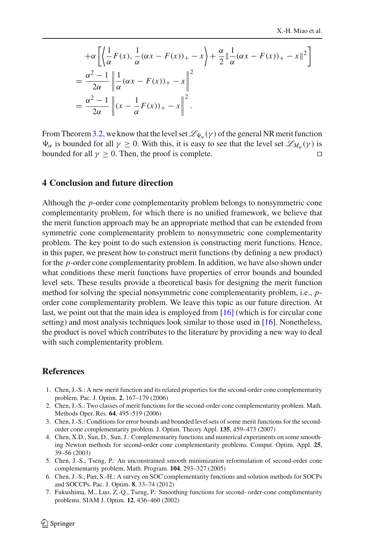$$
+\alpha \left[ \left\langle \frac{1}{\alpha} F(x), \frac{1}{\alpha} (\alpha x - F(x))_+ - x \right\rangle + \frac{\alpha}{2} \| \frac{1}{\alpha} (\alpha x - F(x))_+ - x \|^2 \right]
$$
  
=  $\frac{\alpha^2 - 1}{2\alpha} \| \frac{1}{\alpha} (\alpha x - F(x))_+ - x \|^2$   
=  $\frac{\alpha^2 - 1}{2\alpha} \| (x - \frac{1}{\alpha} F(x))_+ - x \|^2$ .

From Theorem [3.2,](#page-8-1) we know that the level set  $\mathscr{L}_{\Psi_\alpha}(\gamma)$  of the general NR merit function  $\Psi_{\alpha}$  is bounded for all  $\gamma \geq 0$ . With this, it is easy to see that the level set  $\mathscr{L}_{M_{\alpha}}(\gamma)$  is bounded for all  $\gamma \geq 0$ . Then, the proof is complete.

#### **4 Conclusion and future direction**

Although the *p*-order cone complementarity problem belongs to nonsymmetric cone complementarity problem, for which there is no unified framework, we believe that the merit function approach may be an appropriate method that can be extended from symmetric cone complementarity problem to nonsymmetric cone complementarity problem. The key point to do such extension is constructing merit functions. Hence, in this paper, we present how to construct merit functions (by defining a new product) for the *p*-order cone complementarity problem. In addition, we have also shown under what conditions these merit functions have properties of error bounds and bounded level sets. These results provide a theoretical basis for designing the merit function method for solving the special nonsymmetric cone complementarity problem, i.e., *p*order cone complementarity problem. We leave this topic as our future direction. At last, we point out that the main idea is employed from [\[16](#page-18-6)] (which is for circular cone setting) and most analysis techniques look similar to those used in [\[16\]](#page-18-6). Nonetheless, the product is novel which contributes to the literature by providing a new way to deal with such complementarity problem.

# **References**

- <span id="page-17-0"></span>1. Chen, J.-S.: A new merit function and its related properties for the second-order cone complementarity problem. Pac. J. Optim. **2**, 167–179 (2006)
- <span id="page-17-3"></span>2. Chen, J.-S.: Two classes of merit functions for the second-order cone complementarity problem. Math. Methods Oper. Res. **64**, 495–519 (2006)
- 3. Chen, J.-S.: Conditions for error bounds and bounded level sets of some merit functions for the secondorder cone complementarity problem. J. Optim. Theory Appl. **135**, 459–473 (2007)
- 4. Chen, X.D., Sun, D., Sun, J.: Complementarity functions and numerical experiments on some smoothing Newton methods for second-order cone complementarity problems. Comput. Optim. Appl. **25**, 39–56 (2003)
- <span id="page-17-1"></span>5. Chen, J.-S., Tseng, P.: An unconstrained smooth minimization reformulation of second-order cone complementarity problem. Math. Program. **104**, 293–327 (2005)
- 6. Chen, J.-S., Pan, S.-H.: A survey on SOC complementarity functions and solution methods for SOCPs and SOCCPs. Pac. J. Optim. **8**, 33–74 (2012)
- <span id="page-17-2"></span>7. Fukushima, M., Luo, Z.-Q., Tseng, P.: Smoothing functions for second- order-cone complimentarity problems. SIAM J. Optim. **12**, 436–460 (2002)